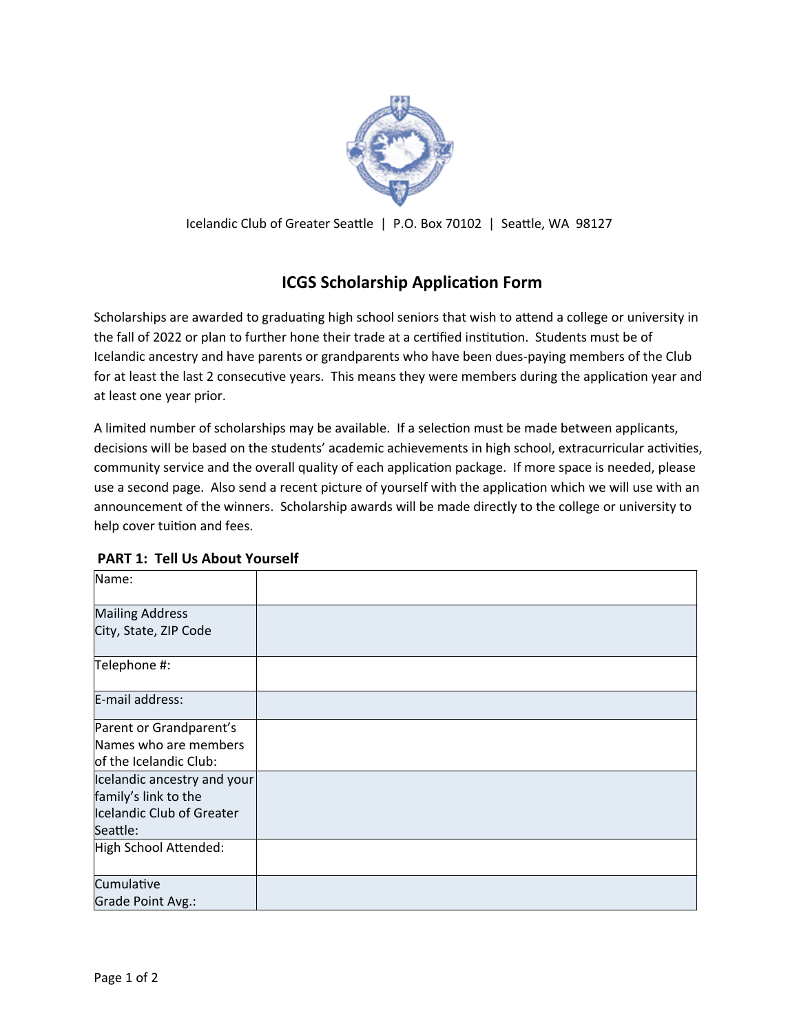

Icelandic Club of Greater Seattle | P.O. Box 70102 | Seattle, WA 98127

# **ICGS Scholarship Application Form**

Scholarships are awarded to graduating high school seniors that wish to attend a college or university in the fall of 2022 or plan to further hone their trade at a certified institution. Students must be of Icelandic ancestry and have parents or grandparents who have been dues-paying members of the Club for at least the last 2 consecutive years. This means they were members during the application year and at least one year prior.

A limited number of scholarships may be available. If a selection must be made between applicants, decisions will be based on the students' academic achievements in high school, extracurricular activities, community service and the overall quality of each application package. If more space is needed, please use a second page. Also send a recent picture of yourself with the application which we will use with an announcement of the winners. Scholarship awards will be made directly to the college or university to help cover tuition and fees.

| Name:                       |  |
|-----------------------------|--|
| <b>Mailing Address</b>      |  |
| City, State, ZIP Code       |  |
| Telephone #:                |  |
| E-mail address:             |  |
| Parent or Grandparent's     |  |
| Names who are members       |  |
| of the Icelandic Club:      |  |
| Icelandic ancestry and your |  |
| family's link to the        |  |
| Icelandic Club of Greater   |  |
| Seattle:                    |  |
| High School Attended:       |  |
| Cumulative                  |  |
| Grade Point Avg.:           |  |

#### **PART 1: Tell Us About Yourself**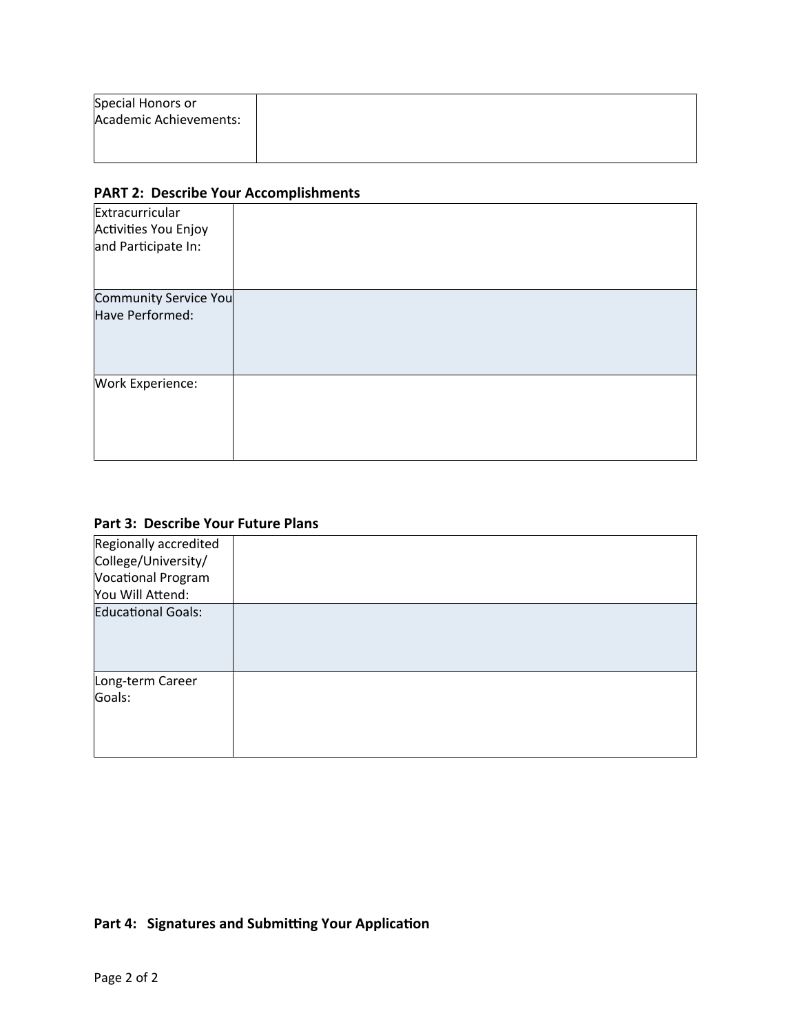| Special Honors or      |  |  |
|------------------------|--|--|
| Academic Achievements: |  |  |
|                        |  |  |
|                        |  |  |

#### **PART 2: Describe Your Accomplishments**

| Extracurricular<br>Activities You Enjoy<br>and Participate In: |  |
|----------------------------------------------------------------|--|
| Community Service You<br>Have Performed:                       |  |
| <b>Work Experience:</b>                                        |  |

### Part 3: Describe Your Future Plans

| Regionally accredited     |  |
|---------------------------|--|
| College/University/       |  |
| Vocational Program        |  |
| You Will Attend:          |  |
| <b>Educational Goals:</b> |  |
| Long-term Career          |  |
| Goals:                    |  |

## Part 4: Signatures and Submitting Your Application